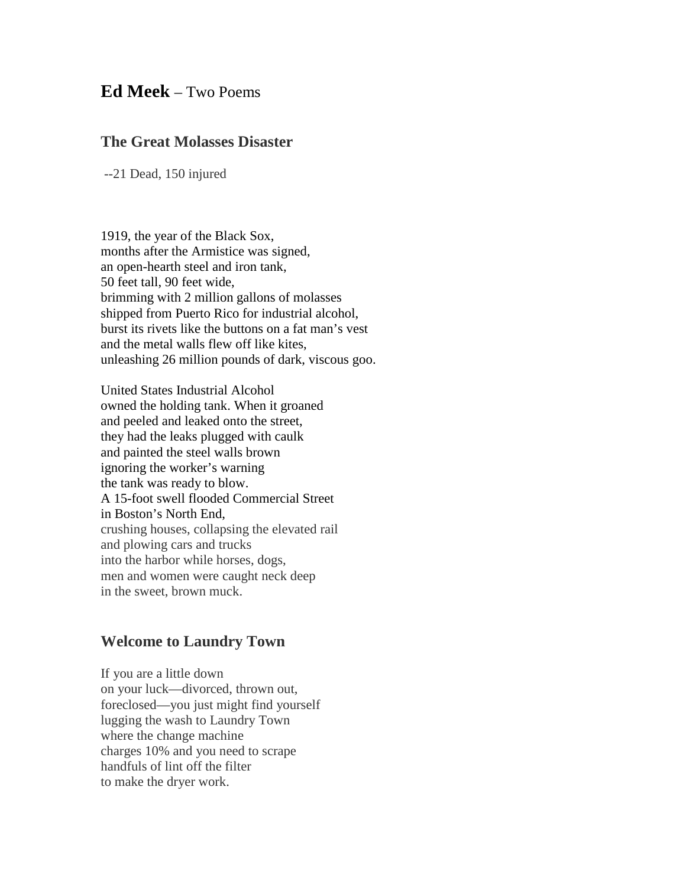## **Ed Meek** – Two Poems

## **The Great Molasses Disaster**

--21 Dead, 150 injured

1919, the year of the Black Sox, months after the Armistice was signed, an open-hearth steel and iron tank, 50 feet tall, 90 feet wide, brimming with 2 million gallons of molasses shipped from Puerto Rico for industrial alcohol, burst its rivets like the buttons on a fat man's vest and the metal walls flew off like kites, unleashing 26 million pounds of dark, viscous goo.

United States Industrial Alcohol owned the holding tank. When it groaned and peeled and leaked onto the street, they had the leaks plugged with caulk and painted the steel walls brown ignoring the worker's warning the tank was ready to blow. A 15-foot swell flooded Commercial Street in Boston's North End, crushing houses, collapsing the elevated rail and plowing cars and trucks into the harbor while horses, dogs, men and women were caught neck deep in the sweet, brown muck.

## **Welcome to Laundry Town**

If you are a little down on your luck—divorced, thrown out, foreclosed—you just might find yourself lugging the wash to Laundry Town where the change machine charges 10% and you need to scrape handfuls of lint off the filter to make the dryer work.